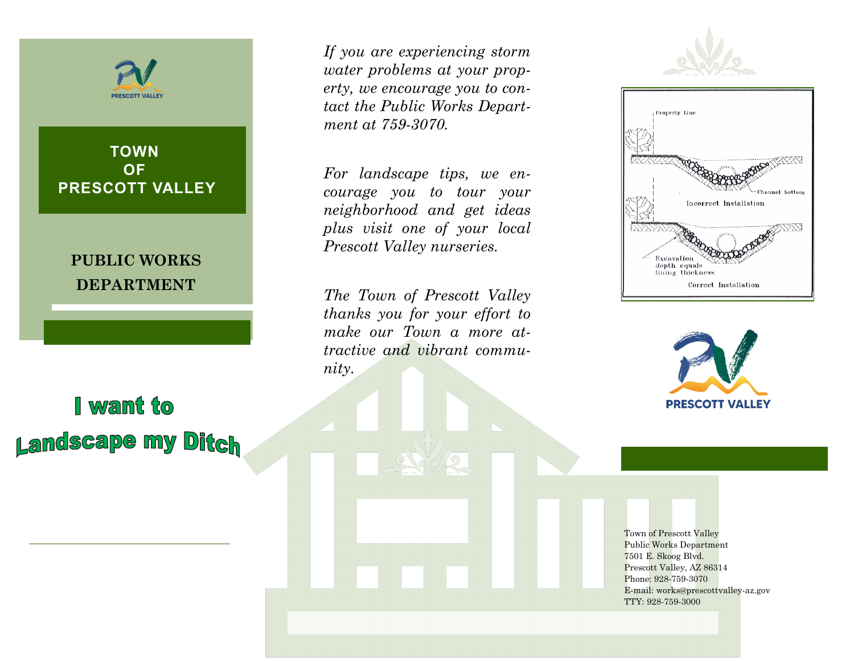**PRESCOTT VALLEY** 

**TOWN OF PRESCOTT VALLEY**

**PUBLIC WORKS DEPARTMENT**

I want to **Landscape my Ditch**  *If you are experiencing storm water problems at your property, we encourage you to contact the Public Works Department at 759-3070.*

*For landscape tips, we encourage you to tour your neighborhood and get ideas plus visit one of your local Prescott Valley nurseries.*

*The Town of Prescott Valley thanks you for your effort to make our Town a more attractive and vibrant community.*







Town of Prescott Valley Public Works Department 7501 E. Skoog Blvd. Prescott Valley, AZ 86314 Phone: 928-759-3070 E-mail: works@prescottvalley-az.gov TTY: 928-759-3000